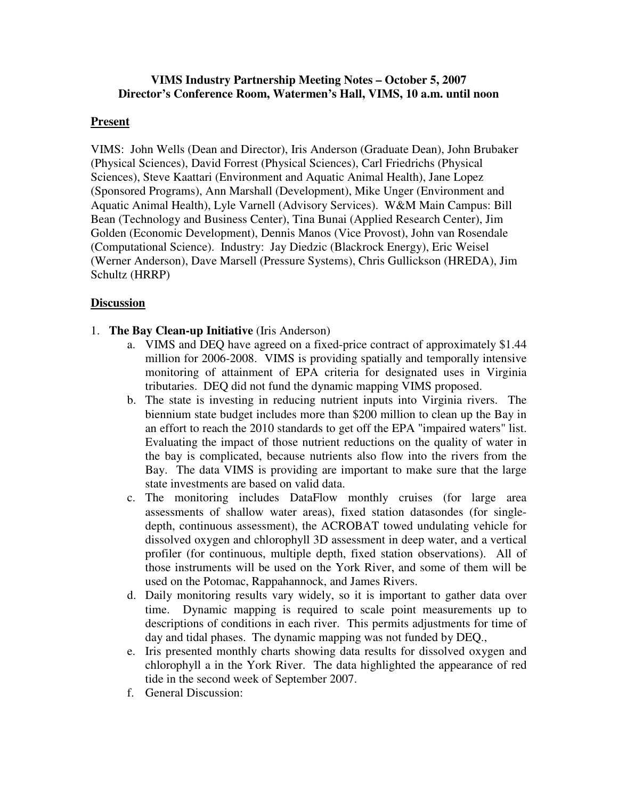### **VIMS Industry Partnership Meeting Notes – October 5, 2007 Director's Conference Room, Watermen's Hall, VIMS, 10 a.m. until noon**

## **Present**

VIMS: John Wells (Dean and Director), Iris Anderson (Graduate Dean), John Brubaker (Physical Sciences), David Forrest (Physical Sciences), Carl Friedrichs (Physical Sciences), Steve Kaattari (Environment and Aquatic Animal Health), Jane Lopez (Sponsored Programs), Ann Marshall (Development), Mike Unger (Environment and Aquatic Animal Health), Lyle Varnell (Advisory Services). W&M Main Campus: Bill Bean (Technology and Business Center), Tina Bunai (Applied Research Center), Jim Golden (Economic Development), Dennis Manos (Vice Provost), John van Rosendale (Computational Science). Industry: Jay Diedzic (Blackrock Energy), Eric Weisel (Werner Anderson), Dave Marsell (Pressure Systems), Chris Gullickson (HREDA), Jim Schultz (HRRP)

## **Discussion**

#### 1. **The Bay Clean-up Initiative** (Iris Anderson)

- a. VIMS and DEQ have agreed on a fixed-price contract of approximately \$1.44 million for 2006-2008. VIMS is providing spatially and temporally intensive monitoring of attainment of EPA criteria for designated uses in Virginia tributaries. DEQ did not fund the dynamic mapping VIMS proposed.
- b. The state is investing in reducing nutrient inputs into Virginia rivers. The biennium state budget includes more than \$200 million to clean up the Bay in an effort to reach the 2010 standards to get off the EPA "impaired waters" list. Evaluating the impact of those nutrient reductions on the quality of water in the bay is complicated, because nutrients also flow into the rivers from the Bay. The data VIMS is providing are important to make sure that the large state investments are based on valid data.
- c. The monitoring includes DataFlow monthly cruises (for large area assessments of shallow water areas), fixed station datasondes (for singledepth, continuous assessment), the ACROBAT towed undulating vehicle for dissolved oxygen and chlorophyll 3D assessment in deep water, and a vertical profiler (for continuous, multiple depth, fixed station observations). All of those instruments will be used on the York River, and some of them will be used on the Potomac, Rappahannock, and James Rivers.
- d. Daily monitoring results vary widely, so it is important to gather data over time. Dynamic mapping is required to scale point measurements up to descriptions of conditions in each river. This permits adjustments for time of day and tidal phases. The dynamic mapping was not funded by DEQ.,
- e. Iris presented monthly charts showing data results for dissolved oxygen and chlorophyll a in the York River. The data highlighted the appearance of red tide in the second week of September 2007.
- f. General Discussion: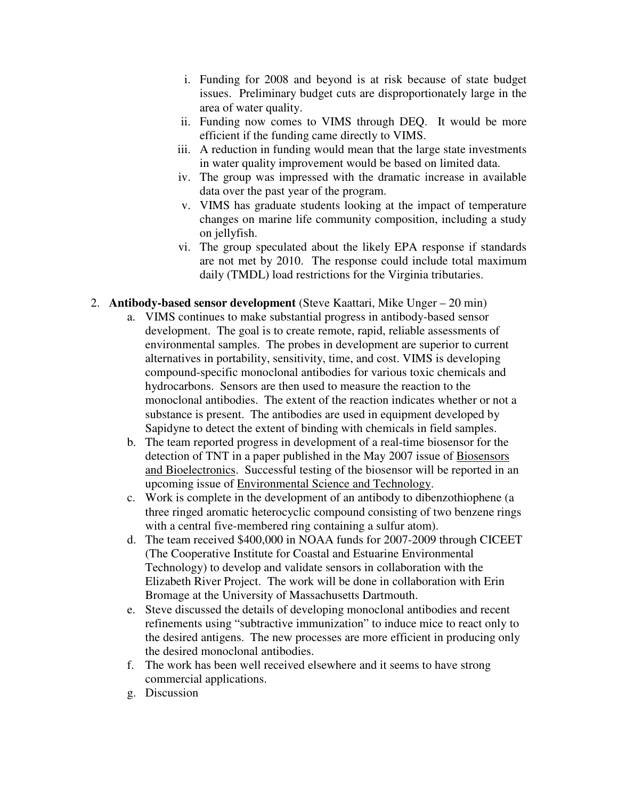- i. Funding for 2008 and beyond is at risk because of state budget issues. Preliminary budget cuts are disproportionately large in the area of water quality.
- ii. Funding now comes to VIMS through DEQ. It would be more efficient if the funding came directly to VIMS.
- iii. A reduction in funding would mean that the large state investments in water quality improvement would be based on limited data.
- iv. The group was impressed with the dramatic increase in available data over the past year of the program.
- v. VIMS has graduate students looking at the impact of temperature changes on marine life community composition, including a study on jellyfish.
- vi. The group speculated about the likely EPA response if standards are not met by 2010. The response could include total maximum daily (TMDL) load restrictions for the Virginia tributaries.
- 2. **Antibody-based sensor development** (Steve Kaattari, Mike Unger 20 min)
	- a. VIMS continues to make substantial progress in antibody-based sensor development. The goal is to create remote, rapid, reliable assessments of environmental samples. The probes in development are superior to current alternatives in portability, sensitivity, time, and cost. VIMS is developing compound-specific monoclonal antibodies for various toxic chemicals and hydrocarbons. Sensors are then used to measure the reaction to the monoclonal antibodies. The extent of the reaction indicates whether or not a substance is present. The antibodies are used in equipment developed by Sapidyne to detect the extent of binding with chemicals in field samples.
	- b. The team reported progress in development of a real-time biosensor for the detection of TNT in a paper published in the May 2007 issue of Biosensors and Bioelectronics. Successful testing of the biosensor will be reported in an upcoming issue of Environmental Science and Technology.
	- c. Work is complete in the development of an antibody to dibenzothiophene (a three ringed aromatic heterocyclic compound consisting of two benzene rings with a central five-membered ring containing a sulfur atom).
	- d. The team received \$400,000 in NOAA funds for 2007-2009 through CICEET (The Cooperative Institute for Coastal and Estuarine Environmental Technology) to develop and validate sensors in collaboration with the Elizabeth River Project. The work will be done in collaboration with Erin Bromage at the University of Massachusetts Dartmouth.
	- e. Steve discussed the details of developing monoclonal antibodies and recent refinements using "subtractive immunization" to induce mice to react only to the desired antigens. The new processes are more efficient in producing only the desired monoclonal antibodies.
	- f. The work has been well received elsewhere and it seems to have strong commercial applications.
	- g. Discussion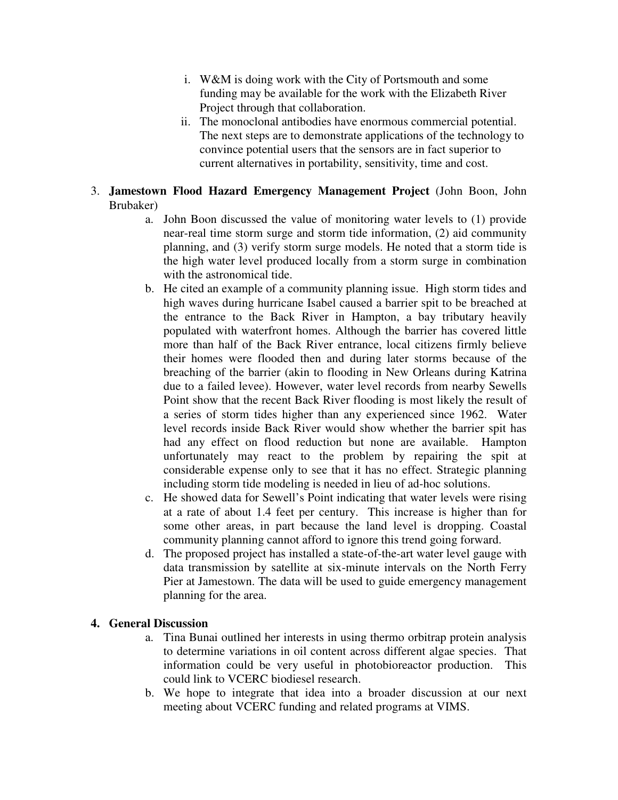- i. W&M is doing work with the City of Portsmouth and some funding may be available for the work with the Elizabeth River Project through that collaboration.
- ii. The monoclonal antibodies have enormous commercial potential. The next steps are to demonstrate applications of the technology to convince potential users that the sensors are in fact superior to current alternatives in portability, sensitivity, time and cost.

# 3. **Jamestown Flood Hazard Emergency Management Project** (John Boon, John Brubaker)

- a. John Boon discussed the value of monitoring water levels to (1) provide near-real time storm surge and storm tide information, (2) aid community planning, and (3) verify storm surge models. He noted that a storm tide is the high water level produced locally from a storm surge in combination with the astronomical tide.
- b. He cited an example of a community planning issue. High storm tides and high waves during hurricane Isabel caused a barrier spit to be breached at the entrance to the Back River in Hampton, a bay tributary heavily populated with waterfront homes. Although the barrier has covered little more than half of the Back River entrance, local citizens firmly believe their homes were flooded then and during later storms because of the breaching of the barrier (akin to flooding in New Orleans during Katrina due to a failed levee). However, water level records from nearby Sewells Point show that the recent Back River flooding is most likely the result of a series of storm tides higher than any experienced since 1962. Water level records inside Back River would show whether the barrier spit has had any effect on flood reduction but none are available. Hampton unfortunately may react to the problem by repairing the spit at considerable expense only to see that it has no effect. Strategic planning including storm tide modeling is needed in lieu of ad-hoc solutions.
- c. He showed data for Sewell's Point indicating that water levels were rising at a rate of about 1.4 feet per century. This increase is higher than for some other areas, in part because the land level is dropping. Coastal community planning cannot afford to ignore this trend going forward.
- d. The proposed project has installed a state-of-the-art water level gauge with data transmission by satellite at six-minute intervals on the North Ferry Pier at Jamestown. The data will be used to guide emergency management planning for the area.

# **4. General Discussion**

- a. Tina Bunai outlined her interests in using thermo orbitrap protein analysis to determine variations in oil content across different algae species. That information could be very useful in photobioreactor production. This could link to VCERC biodiesel research.
- b. We hope to integrate that idea into a broader discussion at our next meeting about VCERC funding and related programs at VIMS.